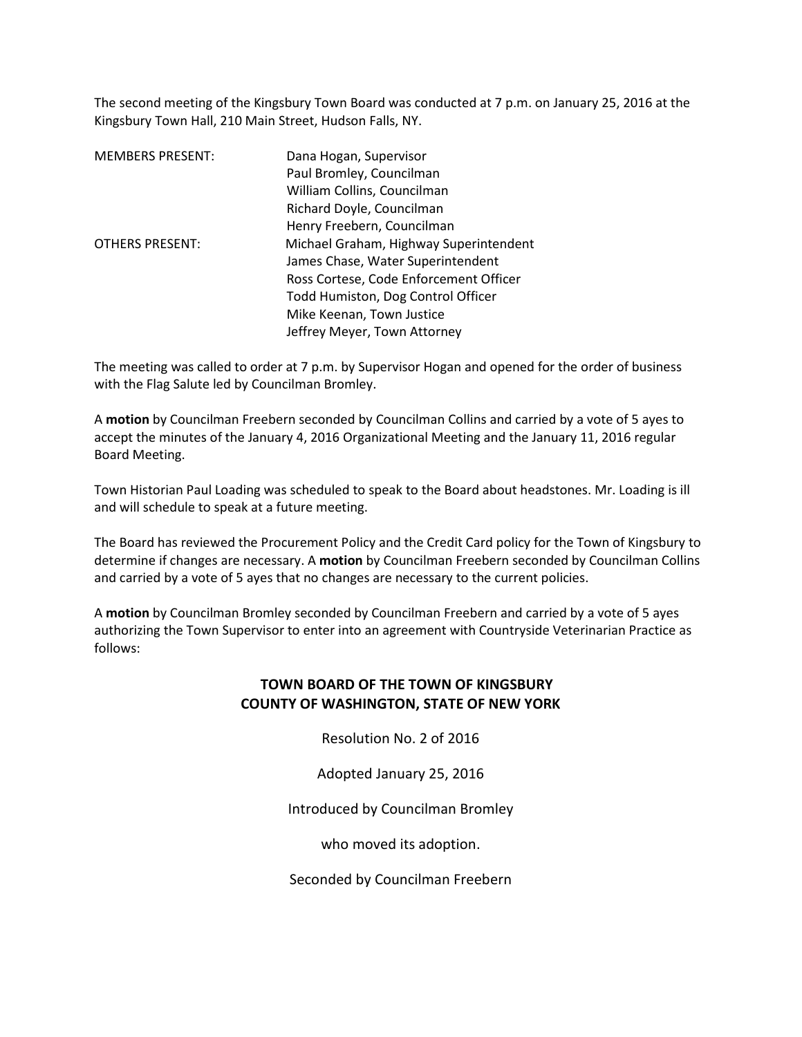The second meeting of the Kingsbury Town Board was conducted at 7 p.m. on January 25, 2016 at the Kingsbury Town Hall, 210 Main Street, Hudson Falls, NY.

| <b>MEMBERS PRESENT:</b> | Dana Hogan, Supervisor                 |  |
|-------------------------|----------------------------------------|--|
|                         | Paul Bromley, Councilman               |  |
|                         | William Collins, Councilman            |  |
|                         | Richard Doyle, Councilman              |  |
|                         | Henry Freebern, Councilman             |  |
| <b>OTHERS PRESENT:</b>  | Michael Graham, Highway Superintendent |  |
|                         | James Chase, Water Superintendent      |  |
|                         | Ross Cortese, Code Enforcement Officer |  |
|                         | Todd Humiston, Dog Control Officer     |  |
|                         | Mike Keenan, Town Justice              |  |
|                         | Jeffrey Meyer, Town Attorney           |  |

The meeting was called to order at 7 p.m. by Supervisor Hogan and opened for the order of business with the Flag Salute led by Councilman Bromley.

A **motion** by Councilman Freebern seconded by Councilman Collins and carried by a vote of 5 ayes to accept the minutes of the January 4, 2016 Organizational Meeting and the January 11, 2016 regular Board Meeting.

Town Historian Paul Loading was scheduled to speak to the Board about headstones. Mr. Loading is ill and will schedule to speak at a future meeting.

The Board has reviewed the Procurement Policy and the Credit Card policy for the Town of Kingsbury to determine if changes are necessary. A **motion** by Councilman Freebern seconded by Councilman Collins and carried by a vote of 5 ayes that no changes are necessary to the current policies.

A **motion** by Councilman Bromley seconded by Councilman Freebern and carried by a vote of 5 ayes authorizing the Town Supervisor to enter into an agreement with Countryside Veterinarian Practice as follows:

## **TOWN BOARD OF THE TOWN OF KINGSBURY COUNTY OF WASHINGTON, STATE OF NEW YORK**

Resolution No. 2 of 2016

Adopted January 25, 2016

Introduced by Councilman Bromley

who moved its adoption.

Seconded by Councilman Freebern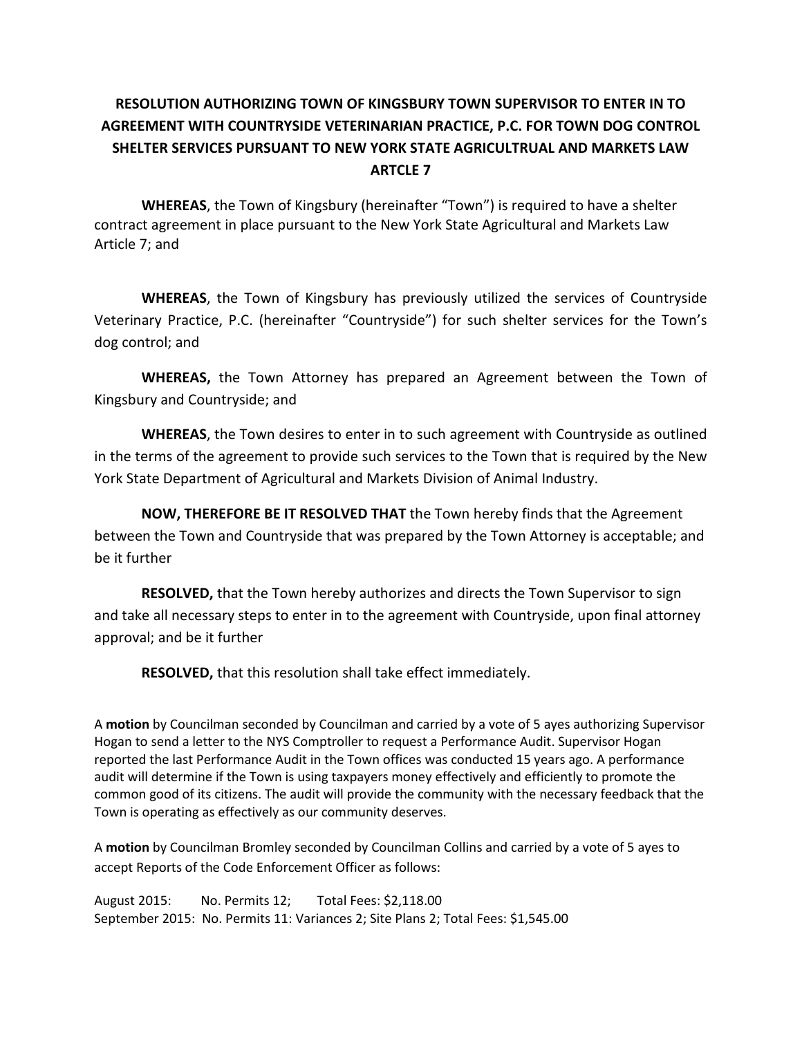## **RESOLUTION AUTHORIZING TOWN OF KINGSBURY TOWN SUPERVISOR TO ENTER IN TO AGREEMENT WITH COUNTRYSIDE VETERINARIAN PRACTICE, P.C. FOR TOWN DOG CONTROL SHELTER SERVICES PURSUANT TO NEW YORK STATE AGRICULTRUAL AND MARKETS LAW ARTCLE 7**

 **WHEREAS**, the Town of Kingsbury (hereinafter "Town") is required to have a shelter contract agreement in place pursuant to the New York State Agricultural and Markets Law Article 7; and

**WHEREAS**, the Town of Kingsbury has previously utilized the services of Countryside Veterinary Practice, P.C. (hereinafter "Countryside") for such shelter services for the Town's dog control; and

**WHEREAS,** the Town Attorney has prepared an Agreement between the Town of Kingsbury and Countryside; and

**WHEREAS**, the Town desires to enter in to such agreement with Countryside as outlined in the terms of the agreement to provide such services to the Town that is required by the New York State Department of Agricultural and Markets Division of Animal Industry.

**NOW, THEREFORE BE IT RESOLVED THAT** the Town hereby finds that the Agreement between the Town and Countryside that was prepared by the Town Attorney is acceptable; and be it further

**RESOLVED,** that the Town hereby authorizes and directs the Town Supervisor to sign and take all necessary steps to enter in to the agreement with Countryside, upon final attorney approval; and be it further

**RESOLVED,** that this resolution shall take effect immediately.

A **motion** by Councilman seconded by Councilman and carried by a vote of 5 ayes authorizing Supervisor Hogan to send a letter to the NYS Comptroller to request a Performance Audit. Supervisor Hogan reported the last Performance Audit in the Town offices was conducted 15 years ago. A performance audit will determine if the Town is using taxpayers money effectively and efficiently to promote the common good of its citizens. The audit will provide the community with the necessary feedback that the Town is operating as effectively as our community deserves.

A **motion** by Councilman Bromley seconded by Councilman Collins and carried by a vote of 5 ayes to accept Reports of the Code Enforcement Officer as follows:

August 2015: No. Permits 12; Total Fees: \$2,118.00 September 2015: No. Permits 11: Variances 2; Site Plans 2; Total Fees: \$1,545.00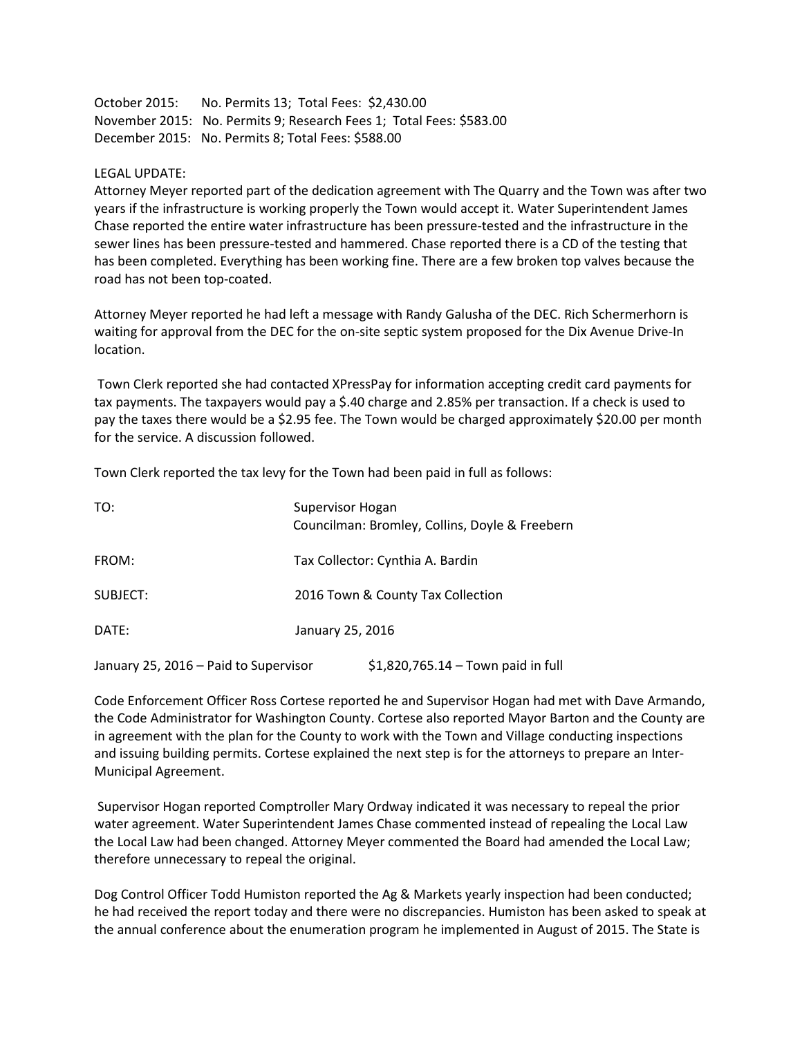October 2015: No. Permits 13; Total Fees: \$2,430.00 November 2015: No. Permits 9; Research Fees 1; Total Fees: \$583.00 December 2015: No. Permits 8; Total Fees: \$588.00

## LEGAL UPDATE:

Attorney Meyer reported part of the dedication agreement with The Quarry and the Town was after two years if the infrastructure is working properly the Town would accept it. Water Superintendent James Chase reported the entire water infrastructure has been pressure-tested and the infrastructure in the sewer lines has been pressure-tested and hammered. Chase reported there is a CD of the testing that has been completed. Everything has been working fine. There are a few broken top valves because the road has not been top-coated.

Attorney Meyer reported he had left a message with Randy Galusha of the DEC. Rich Schermerhorn is waiting for approval from the DEC for the on-site septic system proposed for the Dix Avenue Drive-In location.

 Town Clerk reported she had contacted XPressPay for information accepting credit card payments for tax payments. The taxpayers would pay a \$.40 charge and 2.85% per transaction. If a check is used to pay the taxes there would be a \$2.95 fee. The Town would be charged approximately \$20.00 per month for the service. A discussion followed.

Town Clerk reported the tax levy for the Town had been paid in full as follows:

| TO:                                   | Supervisor Hogan<br>Councilman: Bromley, Collins, Doyle & Freebern |                                     |
|---------------------------------------|--------------------------------------------------------------------|-------------------------------------|
| FROM:                                 | Tax Collector: Cynthia A. Bardin                                   |                                     |
| SUBJECT:                              | 2016 Town & County Tax Collection                                  |                                     |
| DATE:                                 | January 25, 2016                                                   |                                     |
| January 25, 2016 - Paid to Supervisor |                                                                    | $$1,820,765.14 - Town paid in full$ |

Code Enforcement Officer Ross Cortese reported he and Supervisor Hogan had met with Dave Armando, the Code Administrator for Washington County. Cortese also reported Mayor Barton and the County are in agreement with the plan for the County to work with the Town and Village conducting inspections and issuing building permits. Cortese explained the next step is for the attorneys to prepare an Inter-Municipal Agreement.

 Supervisor Hogan reported Comptroller Mary Ordway indicated it was necessary to repeal the prior water agreement. Water Superintendent James Chase commented instead of repealing the Local Law the Local Law had been changed. Attorney Meyer commented the Board had amended the Local Law; therefore unnecessary to repeal the original.

Dog Control Officer Todd Humiston reported the Ag & Markets yearly inspection had been conducted; he had received the report today and there were no discrepancies. Humiston has been asked to speak at the annual conference about the enumeration program he implemented in August of 2015. The State is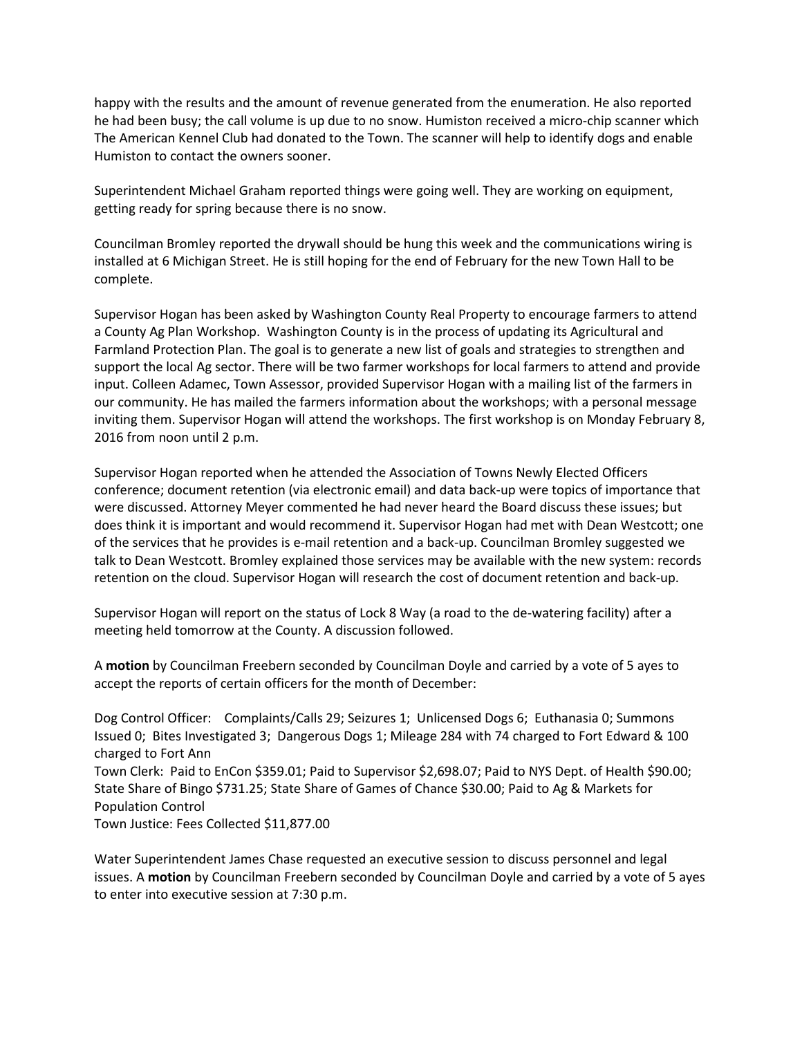happy with the results and the amount of revenue generated from the enumeration. He also reported he had been busy; the call volume is up due to no snow. Humiston received a micro-chip scanner which The American Kennel Club had donated to the Town. The scanner will help to identify dogs and enable Humiston to contact the owners sooner.

Superintendent Michael Graham reported things were going well. They are working on equipment, getting ready for spring because there is no snow.

Councilman Bromley reported the drywall should be hung this week and the communications wiring is installed at 6 Michigan Street. He is still hoping for the end of February for the new Town Hall to be complete.

Supervisor Hogan has been asked by Washington County Real Property to encourage farmers to attend a County Ag Plan Workshop. Washington County is in the process of updating its Agricultural and Farmland Protection Plan. The goal is to generate a new list of goals and strategies to strengthen and support the local Ag sector. There will be two farmer workshops for local farmers to attend and provide input. Colleen Adamec, Town Assessor, provided Supervisor Hogan with a mailing list of the farmers in our community. He has mailed the farmers information about the workshops; with a personal message inviting them. Supervisor Hogan will attend the workshops. The first workshop is on Monday February 8, 2016 from noon until 2 p.m.

Supervisor Hogan reported when he attended the Association of Towns Newly Elected Officers conference; document retention (via electronic email) and data back-up were topics of importance that were discussed. Attorney Meyer commented he had never heard the Board discuss these issues; but does think it is important and would recommend it. Supervisor Hogan had met with Dean Westcott; one of the services that he provides is e-mail retention and a back-up. Councilman Bromley suggested we talk to Dean Westcott. Bromley explained those services may be available with the new system: records retention on the cloud. Supervisor Hogan will research the cost of document retention and back-up.

Supervisor Hogan will report on the status of Lock 8 Way (a road to the de-watering facility) after a meeting held tomorrow at the County. A discussion followed.

A **motion** by Councilman Freebern seconded by Councilman Doyle and carried by a vote of 5 ayes to accept the reports of certain officers for the month of December:

Dog Control Officer: Complaints/Calls 29; Seizures 1; Unlicensed Dogs 6; Euthanasia 0; Summons Issued 0; Bites Investigated 3; Dangerous Dogs 1; Mileage 284 with 74 charged to Fort Edward & 100 charged to Fort Ann

Town Clerk: Paid to EnCon \$359.01; Paid to Supervisor \$2,698.07; Paid to NYS Dept. of Health \$90.00; State Share of Bingo \$731.25; State Share of Games of Chance \$30.00; Paid to Ag & Markets for Population Control

Town Justice: Fees Collected \$11,877.00

Water Superintendent James Chase requested an executive session to discuss personnel and legal issues. A **motion** by Councilman Freebern seconded by Councilman Doyle and carried by a vote of 5 ayes to enter into executive session at 7:30 p.m.